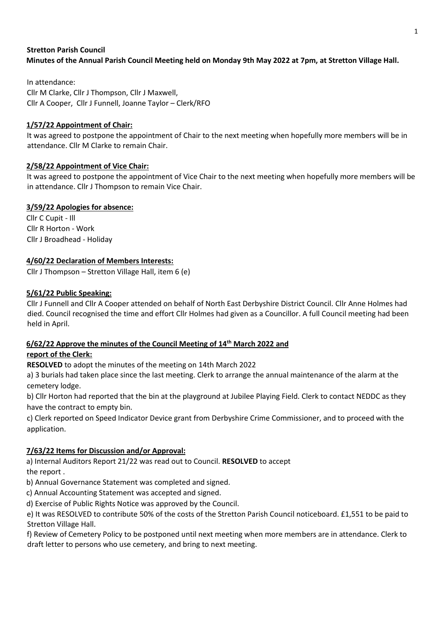## **Stretton Parish Council Minutes of the Annual Parish Council Meeting held on Monday 9th May 2022 at 7pm, at Stretton Village Hall.**

In attendance: Cllr M Clarke, Cllr J Thompson, Cllr J Maxwell, Cllr A Cooper, Cllr J Funnell, Joanne Taylor – Clerk/RFO

## **1/57/22 Appointment of Chair:**

It was agreed to postpone the appointment of Chair to the next meeting when hopefully more members will be in attendance. Cllr M Clarke to remain Chair.

## **2/58/22 Appointment of Vice Chair:**

It was agreed to postpone the appointment of Vice Chair to the next meeting when hopefully more members will be in attendance. Cllr J Thompson to remain Vice Chair.

### **3/59/22 Apologies for absence:**

Cllr C Cupit - Ill Cllr R Horton - Work Cllr J Broadhead - Holiday

### **4/60/22 Declaration of Members Interests:**

Cllr J Thompson – Stretton Village Hall, item 6 (e)

### **5/61/22 Public Speaking:**

Cllr J Funnell and Cllr A Cooper attended on behalf of North East Derbyshire District Council. Cllr Anne Holmes had died. Council recognised the time and effort Cllr Holmes had given as a Councillor. A full Council meeting had been held in April.

## **6/62/22 Approve the minutes of the Council Meeting of 14th March 2022 and report of the Clerk:**

**RESOLVED** to adopt the minutes of the meeting on 14th March 2022

a) 3 burials had taken place since the last meeting. Clerk to arrange the annual maintenance of the alarm at the cemetery lodge.

b) Cllr Horton had reported that the bin at the playground at Jubilee Playing Field. Clerk to contact NEDDC as they have the contract to empty bin.

c) Clerk reported on Speed Indicator Device grant from Derbyshire Crime Commissioner, and to proceed with the application.

## **7/63/22 Items for Discussion and/or Approval:**

a) Internal Auditors Report 21/22 was read out to Council. **RESOLVED** to accept the report .

b) Annual Governance Statement was completed and signed.

c) Annual Accounting Statement was accepted and signed.

d) Exercise of Public Rights Notice was approved by the Council.

e) It was RESOLVED to contribute 50% of the costs of the Stretton Parish Council noticeboard. £1,551 to be paid to Stretton Village Hall.

f) Review of Cemetery Policy to be postponed until next meeting when more members are in attendance. Clerk to draft letter to persons who use cemetery, and bring to next meeting.